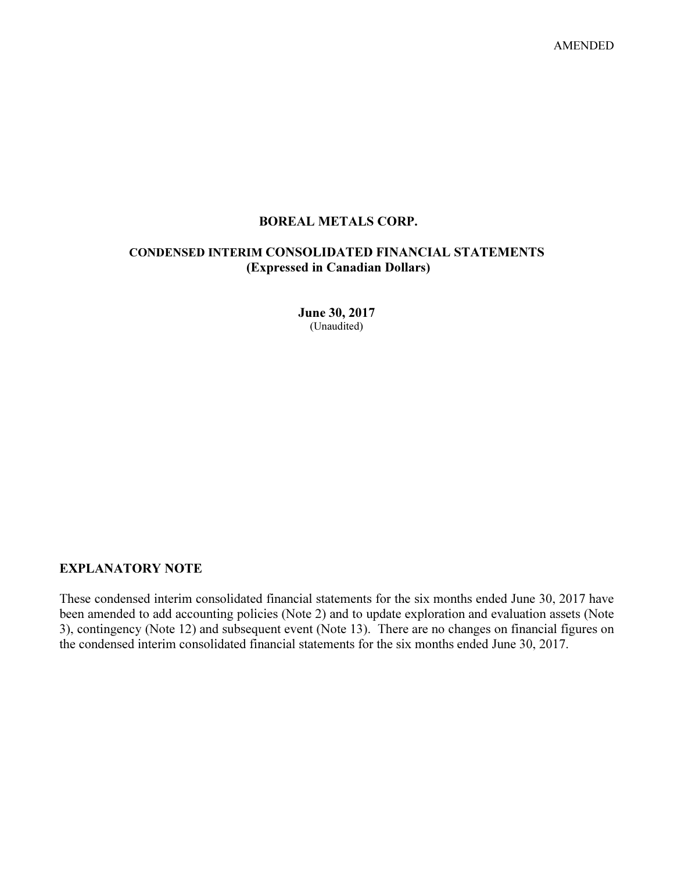AMENDED

# BOREAL METALS CORP.

# CONDENSED INTERIM CONSOLIDATED FINANCIAL STATEMENTS (Expressed in Canadian Dollars)

June 30, 2017 (Unaudited)

# EXPLANATORY NOTE

These condensed interim consolidated financial statements for the six months ended June 30, 2017 have been amended to add accounting policies (Note 2) and to update exploration and evaluation assets (Note 3), contingency (Note 12) and subsequent event (Note 13). There are no changes on financial figures on the condensed interim consolidated financial statements for the six months ended June 30, 2017.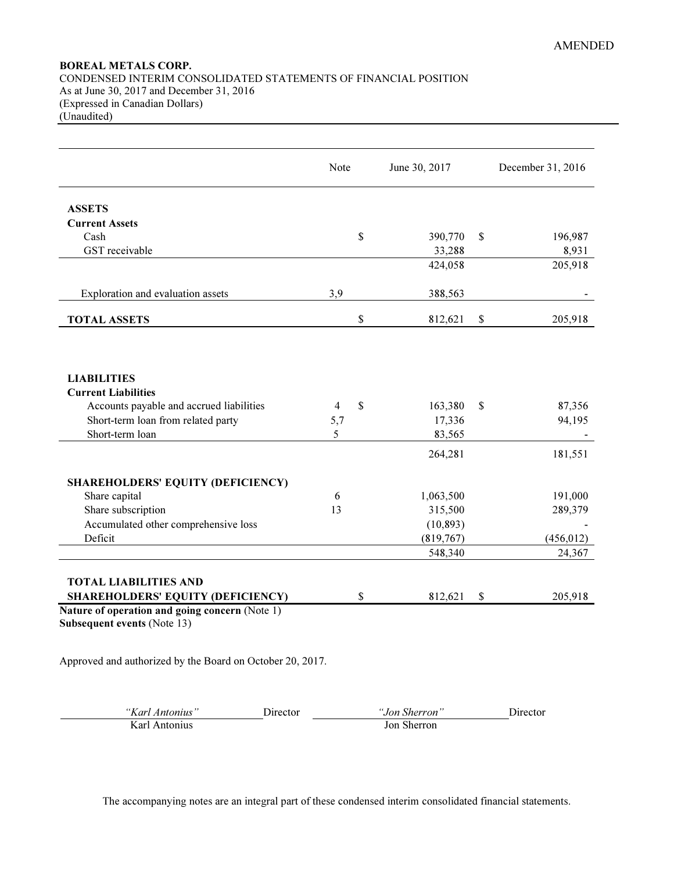# BOREAL METALS CORP. CONDENSED INTERIM CONSOLIDATED STATEMENTS OF FINANCIAL POSITION As at June 30, 2017 and December 31, 2016 (Expressed in Canadian Dollars) (Unaudited)

|                                          | Note |              | June 30, 2017 |              | December 31, 2016 |
|------------------------------------------|------|--------------|---------------|--------------|-------------------|
| <b>ASSETS</b>                            |      |              |               |              |                   |
| <b>Current Assets</b>                    |      |              |               |              |                   |
| Cash                                     |      | $\mathbb{S}$ | 390,770       | \$           | 196,987           |
| GST receivable                           |      |              | 33,288        |              | 8,931             |
|                                          |      |              | 424,058       |              | 205,918           |
| Exploration and evaluation assets        | 3,9  |              | 388,563       |              |                   |
| <b>TOTAL ASSETS</b>                      |      | $\$$         | 812,621       | $\$$         | 205,918           |
| <b>LIABILITIES</b>                       |      |              |               |              |                   |
| <b>Current Liabilities</b>               |      |              |               |              |                   |
| Accounts payable and accrued liabilities | 4    | $\mathbb{S}$ | 163,380       | $\mathbb{S}$ | 87,356            |
| Short-term loan from related party       | 5,7  |              | 17,336        |              | 94,195            |
| Short-term loan                          | 5    |              | 83,565        |              |                   |
|                                          |      |              | 264,281       |              | 181,551           |
| <b>SHAREHOLDERS' EQUITY (DEFICIENCY)</b> |      |              |               |              |                   |
| Share capital                            | 6    |              | 1,063,500     |              | 191,000           |
| Share subscription                       | 13   |              | 315,500       |              | 289,379           |
| Accumulated other comprehensive loss     |      |              | (10, 893)     |              |                   |
| Deficit                                  |      |              | (819,767)     |              | (456, 012)        |
|                                          |      |              | 548,340       |              | 24,367            |
| <b>TOTAL LIABILITIES AND</b>             |      |              |               |              |                   |
| <b>SHAREHOLDERS' EQUITY (DEFICIENCY)</b> |      | \$           | 812,621       | \$           | 205,918           |

Approved and authorized by the Board on October 20, 2017.

| "Karl Antonius" | Jirector | "Jon Sherron | Jirector |
|-----------------|----------|--------------|----------|
| Karl Antonius   |          | Jon Sherron  |          |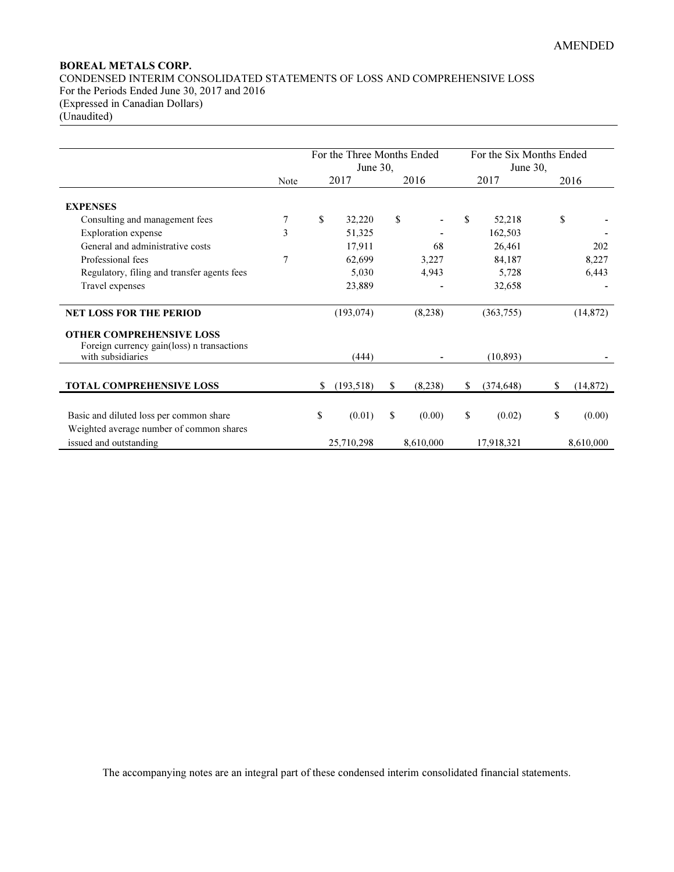# BOREAL METALS CORP. CONDENSED INTERIM CONSOLIDATED STATEMENTS OF LOSS AND COMPREHENSIVE LOSS For the Periods Ended June 30, 2017 and 2016 (Expressed in Canadian Dollars) (Unaudited)

|                                             |      |             | For the Three Months Ended |               | For the Six Months Ended |            |    |           |
|---------------------------------------------|------|-------------|----------------------------|---------------|--------------------------|------------|----|-----------|
|                                             |      |             | June 30,                   |               |                          | June 30,   |    |           |
|                                             | Note |             | 2017                       | 2016          |                          | 2017       |    | 2016      |
|                                             |      |             |                            |               |                          |            |    |           |
| <b>EXPENSES</b>                             |      |             |                            |               |                          |            |    |           |
| Consulting and management fees              | 7    | $\mathbf S$ | 32,220                     | \$            | $\mathbf{s}$             | 52,218     | \$ |           |
| <b>Exploration</b> expense                  | 3    |             | 51,325                     |               |                          | 162,503    |    |           |
| General and administrative costs            |      |             | 17,911                     | 68            |                          | 26,461     |    | 202       |
| Professional fees                           | 7    |             | 62,699                     | 3,227         |                          | 84,187     |    | 8,227     |
| Regulatory, filing and transfer agents fees |      |             | 5,030                      | 4,943         |                          | 5,728      |    | 6,443     |
| Travel expenses                             |      |             | 23,889                     |               |                          | 32,658     |    |           |
| <b>NET LOSS FOR THE PERIOD</b>              |      |             | (193, 074)                 | (8,238)       |                          | (363,755)  |    | (14, 872) |
| <b>OTHER COMPREHENSIVE LOSS</b>             |      |             |                            |               |                          |            |    |           |
| Foreign currency gain(loss) n transactions  |      |             |                            |               |                          |            |    |           |
| with subsidiaries                           |      |             | (444)                      |               |                          | (10, 893)  |    |           |
|                                             |      |             |                            |               |                          |            |    |           |
| <b>TOTAL COMPREHENSIVE LOSS</b>             |      | S.          | (193, 518)                 | \$<br>(8,238) | \$                       | (374, 648) | \$ | (14, 872) |
|                                             |      |             |                            |               |                          |            |    |           |
| Basic and diluted loss per common share     |      | \$          | (0.01)                     | \$<br>(0.00)  | \$                       | (0.02)     | \$ | (0.00)    |
| Weighted average number of common shares    |      |             |                            |               |                          |            |    |           |
| issued and outstanding                      |      |             | 25,710,298                 | 8,610,000     |                          | 17,918,321 |    | 8,610,000 |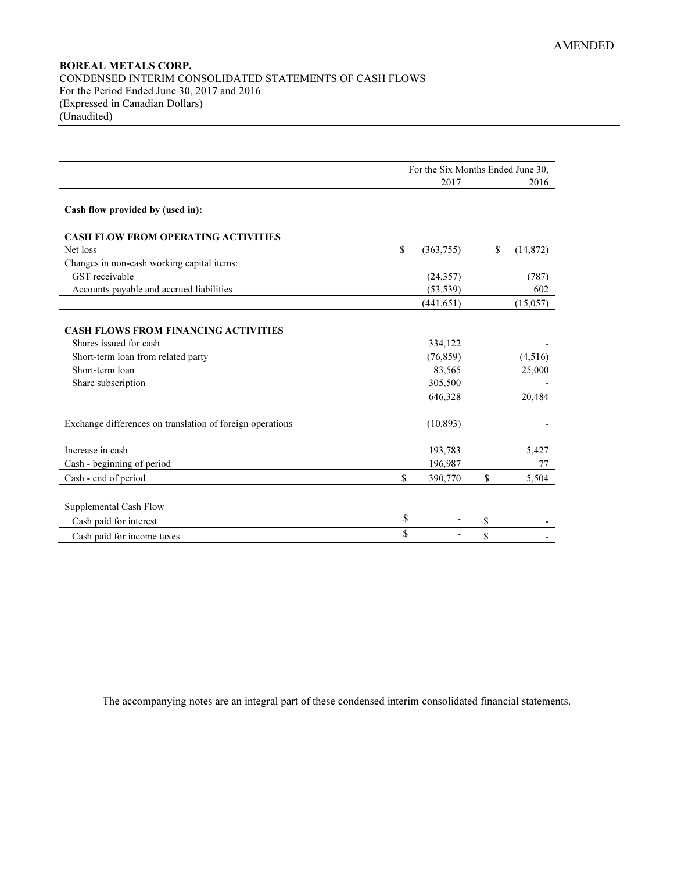# BOREAL METALS CORP. CONDENSED INTERIM CONSOLIDATED STATEMENTS OF CASH FLOWS For the Period Ended June 30, 2017 and 2016 (Expressed in Canadian Dollars) (Unaudited)

|                                                           | For the Six Months Ended June 30, |            |    |           |  |
|-----------------------------------------------------------|-----------------------------------|------------|----|-----------|--|
|                                                           |                                   | 2017       |    | 2016      |  |
| Cash flow provided by (used in):                          |                                   |            |    |           |  |
| <b>CASH FLOW FROM OPERATING ACTIVITIES</b>                |                                   |            |    |           |  |
| Net loss                                                  | \$                                | (363,755)  | \$ | (14, 872) |  |
| Changes in non-cash working capital items:                |                                   |            |    |           |  |
| GST receivable                                            |                                   | (24, 357)  |    | (787)     |  |
| Accounts payable and accrued liabilities                  |                                   | (53, 539)  |    | 602       |  |
|                                                           |                                   | (441, 651) |    | (15,057)  |  |
| <b>CASH FLOWS FROM FINANCING ACTIVITIES</b>               |                                   |            |    |           |  |
| Shares issued for cash                                    |                                   | 334,122    |    |           |  |
| Short-term loan from related party                        |                                   | (76, 859)  |    | (4,516)   |  |
| Short-term loan                                           |                                   | 83,565     |    | 25,000    |  |
| Share subscription                                        |                                   | 305,500    |    |           |  |
|                                                           |                                   | 646,328    |    | 20,484    |  |
| Exchange differences on translation of foreign operations |                                   | (10, 893)  |    |           |  |
| Increase in cash                                          |                                   | 193,783    |    | 5,427     |  |
| Cash - beginning of period                                |                                   | 196,987    |    | 77        |  |
| Cash - end of period                                      | \$                                | 390,770    | \$ | 5,504     |  |
|                                                           |                                   |            |    |           |  |
| Supplemental Cash Flow                                    |                                   |            |    |           |  |
| Cash paid for interest                                    | \$                                |            | \$ |           |  |
| Cash paid for income taxes                                | \$                                |            | \$ |           |  |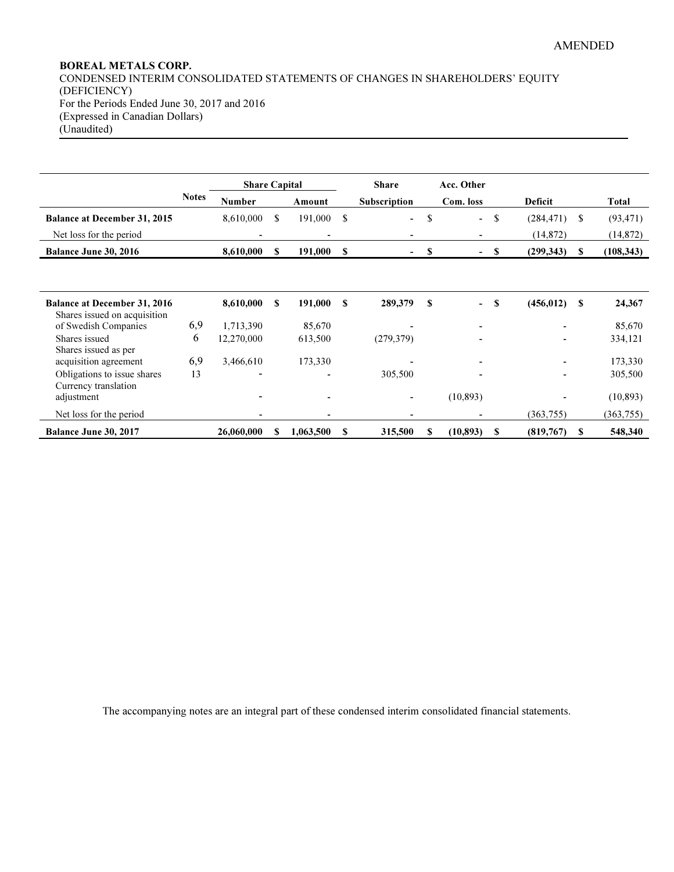# BOREAL METALS CORP. CONDENSED INTERIM CONSOLIDATED STATEMENTS OF CHANGES IN SHAREHOLDERS' EQUITY (DEFICIENCY) For the Periods Ended June 30, 2017 and 2016 (Expressed in Canadian Dollars) (Unaudited)

|                                                                     |              | <b>Share Capital</b> |    |           |          | <b>Share</b>             |      | Acc. Other                    |            |               |            |
|---------------------------------------------------------------------|--------------|----------------------|----|-----------|----------|--------------------------|------|-------------------------------|------------|---------------|------------|
|                                                                     | <b>Notes</b> | <b>Number</b>        |    | Amount    |          | <b>Subscription</b>      |      | Com. loss                     | Deficit    |               | Total      |
| <b>Balance at December 31, 2015</b>                                 |              | 8,610,000            | S. | 191,000   | \$       | $\overline{\phantom{0}}$ | \$   | \$<br>$\blacksquare$          | (284, 471) | <sup>\$</sup> | (93, 471)  |
| Net loss for the period                                             |              |                      |    |           |          |                          |      |                               | (14, 872)  |               | (14, 872)  |
| Balance June 30, 2016                                               |              | 8,610,000            | S  | 191,000   | <b>S</b> | ۰.                       | - \$ | S<br>$\overline{\phantom{0}}$ | (299, 343) | S             | (108, 343) |
|                                                                     |              |                      |    |           |          |                          |      |                               |            |               |            |
| <b>Balance at December 31, 2016</b><br>Shares issued on acquisition |              | 8,610,000            | S  | 191,000   | S        | 289,379                  | S    | S<br>$\blacksquare$           | (456, 012) | -S            | 24,367     |
| of Swedish Companies                                                | 6,9          | 1,713,390            |    | 85,670    |          |                          |      | $\overline{\phantom{a}}$      |            |               | 85,670     |
| Shares issued                                                       | 6            | 12,270,000           |    | 613,500   |          | (279, 379)               |      |                               |            |               | 334,121    |
| Shares issued as per<br>acquisition agreement                       | 6,9          | 3,466,610            |    | 173,330   |          |                          |      |                               |            |               | 173,330    |
| Obligations to issue shares                                         | 13           |                      |    |           |          | 305,500                  |      | $\overline{\phantom{a}}$      |            |               | 305,500    |
| Currency translation<br>adjustment                                  |              |                      |    |           |          |                          |      | (10, 893)                     |            |               | (10, 893)  |
| Net loss for the period                                             |              |                      |    |           |          |                          |      |                               | (363, 755) |               | (363, 755) |
| Balance June 30, 2017                                               |              | 26,060,000           | S  | 1,063,500 | S        | 315,500                  | S    | (10, 893)<br>S                | (819,767)  | -S            | 548,340    |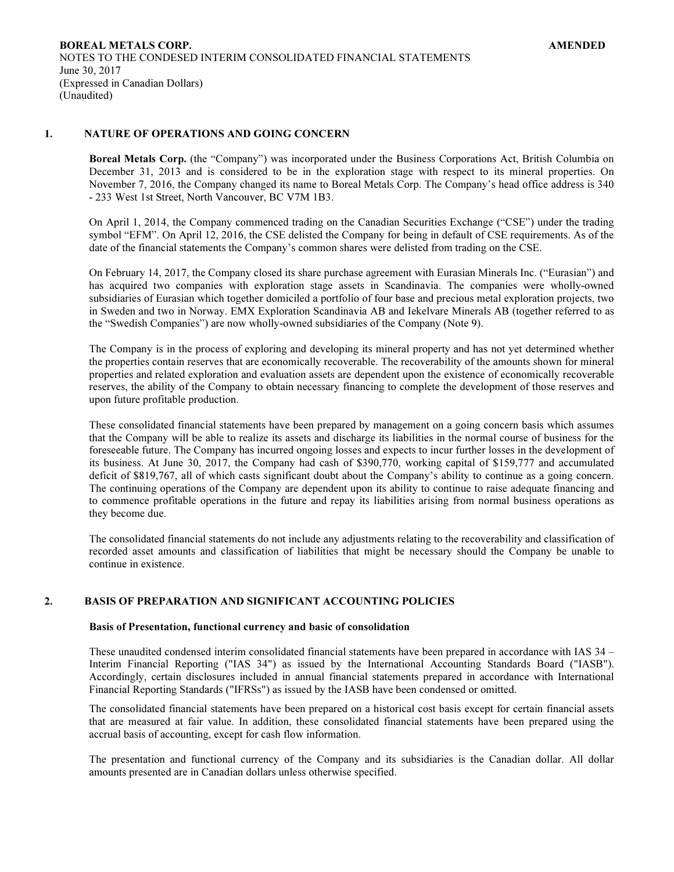## 1. NATURE OF OPERATIONS AND GOING CONCERN

Boreal Metals Corp. (the "Company") was incorporated under the Business Corporations Act, British Columbia on December 31, 2013 and is considered to be in the exploration stage with respect to its mineral properties. On November 7, 2016, the Company changed its name to Boreal Metals Corp. The Company's head office address is 340 - 233 West 1st Street, North Vancouver, BC V7M 1B3.

On April 1, 2014, the Company commenced trading on the Canadian Securities Exchange ("CSE") under the trading symbol "EFM". On April 12, 2016, the CSE delisted the Company for being in default of CSE requirements. As of the date of the financial statements the Company's common shares were delisted from trading on the CSE.

On February 14, 2017, the Company closed its share purchase agreement with Eurasian Minerals Inc. ("Eurasian") and has acquired two companies with exploration stage assets in Scandinavia. The companies were wholly-owned subsidiaries of Eurasian which together domiciled a portfolio of four base and precious metal exploration projects, two in Sweden and two in Norway. EMX Exploration Scandinavia AB and Iekelvare Minerals AB (together referred to as the "Swedish Companies") are now wholly-owned subsidiaries of the Company (Note 9).

The Company is in the process of exploring and developing its mineral property and has not yet determined whether the properties contain reserves that are economically recoverable. The recoverability of the amounts shown for mineral properties and related exploration and evaluation assets are dependent upon the existence of economically recoverable reserves, the ability of the Company to obtain necessary financing to complete the development of those reserves and upon future profitable production.

These consolidated financial statements have been prepared by management on a going concern basis which assumes that the Company will be able to realize its assets and discharge its liabilities in the normal course of business for the foreseeable future. The Company has incurred ongoing losses and expects to incur further losses in the development of its business. At June 30, 2017, the Company had cash of \$390,770, working capital of \$159,777 and accumulated deficit of \$819,767, all of which casts significant doubt about the Company's ability to continue as a going concern. The continuing operations of the Company are dependent upon its ability to continue to raise adequate financing and to commence profitable operations in the future and repay its liabilities arising from normal business operations as they become due.

The consolidated financial statements do not include any adjustments relating to the recoverability and classification of recorded asset amounts and classification of liabilities that might be necessary should the Company be unable to continue in existence.

## 2. BASIS OF PREPARATION AND SIGNIFICANT ACCOUNTING POLICIES

# Basis of Presentation, functional currency and basic of consolidation

These unaudited condensed interim consolidated financial statements have been prepared in accordance with IAS 34 – Interim Financial Reporting ("IAS 34") as issued by the International Accounting Standards Board ("IASB"). Accordingly, certain disclosures included in annual financial statements prepared in accordance with International Financial Reporting Standards ("IFRSs") as issued by the IASB have been condensed or omitted.

The consolidated financial statements have been prepared on a historical cost basis except for certain financial assets that are measured at fair value. In addition, these consolidated financial statements have been prepared using the accrual basis of accounting, except for cash flow information.

The presentation and functional currency of the Company and its subsidiaries is the Canadian dollar. All dollar amounts presented are in Canadian dollars unless otherwise specified.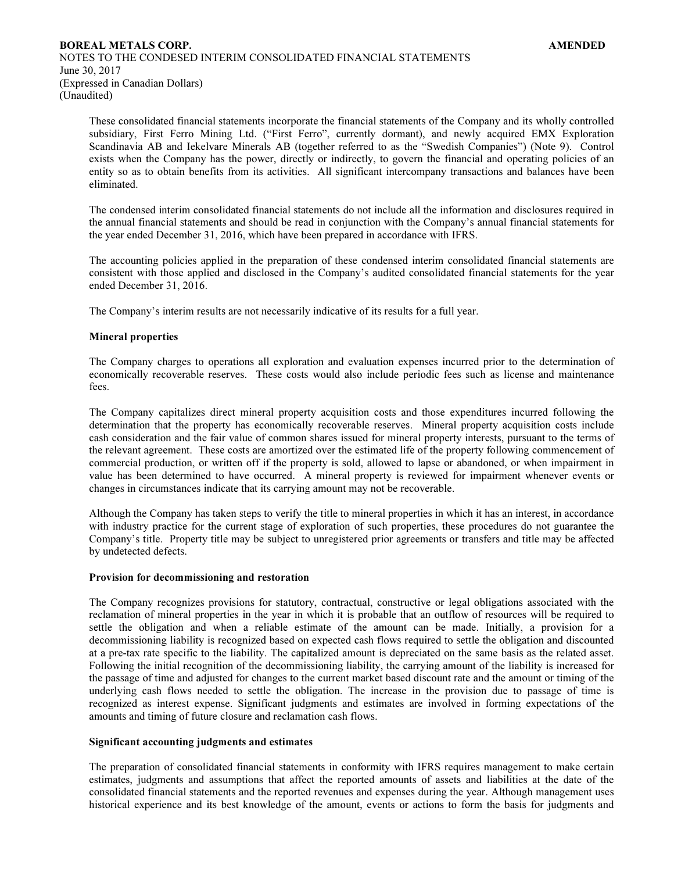These consolidated financial statements incorporate the financial statements of the Company and its wholly controlled subsidiary, First Ferro Mining Ltd. ("First Ferro", currently dormant), and newly acquired EMX Exploration Scandinavia AB and Iekelvare Minerals AB (together referred to as the "Swedish Companies") (Note 9). Control exists when the Company has the power, directly or indirectly, to govern the financial and operating policies of an entity so as to obtain benefits from its activities. All significant intercompany transactions and balances have been eliminated.

The condensed interim consolidated financial statements do not include all the information and disclosures required in the annual financial statements and should be read in conjunction with the Company's annual financial statements for the year ended December 31, 2016, which have been prepared in accordance with IFRS.

The accounting policies applied in the preparation of these condensed interim consolidated financial statements are consistent with those applied and disclosed in the Company's audited consolidated financial statements for the year ended December 31, 2016.

The Company's interim results are not necessarily indicative of its results for a full year.

## Mineral properties

 The Company charges to operations all exploration and evaluation expenses incurred prior to the determination of economically recoverable reserves. These costs would also include periodic fees such as license and maintenance fees.

 The Company capitalizes direct mineral property acquisition costs and those expenditures incurred following the determination that the property has economically recoverable reserves. Mineral property acquisition costs include cash consideration and the fair value of common shares issued for mineral property interests, pursuant to the terms of the relevant agreement. These costs are amortized over the estimated life of the property following commencement of commercial production, or written off if the property is sold, allowed to lapse or abandoned, or when impairment in value has been determined to have occurred. A mineral property is reviewed for impairment whenever events or changes in circumstances indicate that its carrying amount may not be recoverable.

 Although the Company has taken steps to verify the title to mineral properties in which it has an interest, in accordance with industry practice for the current stage of exploration of such properties, these procedures do not guarantee the Company's title. Property title may be subject to unregistered prior agreements or transfers and title may be affected by undetected defects.

#### Provision for decommissioning and restoration

 The Company recognizes provisions for statutory, contractual, constructive or legal obligations associated with the reclamation of mineral properties in the year in which it is probable that an outflow of resources will be required to settle the obligation and when a reliable estimate of the amount can be made. Initially, a provision for a decommissioning liability is recognized based on expected cash flows required to settle the obligation and discounted at a pre-tax rate specific to the liability. The capitalized amount is depreciated on the same basis as the related asset. Following the initial recognition of the decommissioning liability, the carrying amount of the liability is increased for the passage of time and adjusted for changes to the current market based discount rate and the amount or timing of the underlying cash flows needed to settle the obligation. The increase in the provision due to passage of time is recognized as interest expense. Significant judgments and estimates are involved in forming expectations of the amounts and timing of future closure and reclamation cash flows.

### Significant accounting judgments and estimates

 The preparation of consolidated financial statements in conformity with IFRS requires management to make certain estimates, judgments and assumptions that affect the reported amounts of assets and liabilities at the date of the consolidated financial statements and the reported revenues and expenses during the year. Although management uses historical experience and its best knowledge of the amount, events or actions to form the basis for judgments and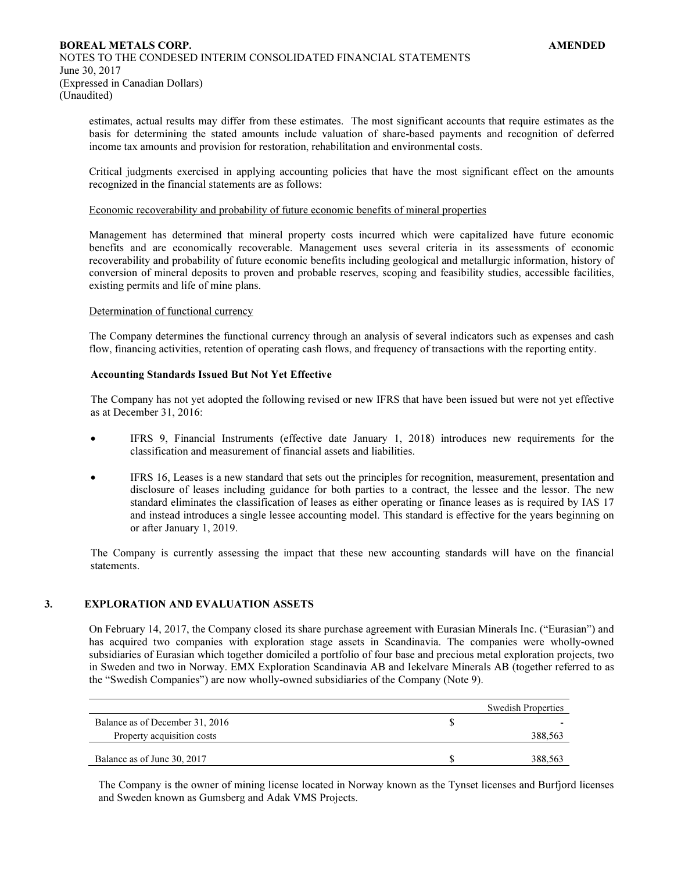estimates, actual results may differ from these estimates. The most significant accounts that require estimates as the basis for determining the stated amounts include valuation of share-based payments and recognition of deferred income tax amounts and provision for restoration, rehabilitation and environmental costs.

Critical judgments exercised in applying accounting policies that have the most significant effect on the amounts recognized in the financial statements are as follows:

#### Economic recoverability and probability of future economic benefits of mineral properties

Management has determined that mineral property costs incurred which were capitalized have future economic benefits and are economically recoverable. Management uses several criteria in its assessments of economic recoverability and probability of future economic benefits including geological and metallurgic information, history of conversion of mineral deposits to proven and probable reserves, scoping and feasibility studies, accessible facilities, existing permits and life of mine plans.

### Determination of functional currency

The Company determines the functional currency through an analysis of several indicators such as expenses and cash flow, financing activities, retention of operating cash flows, and frequency of transactions with the reporting entity.

### Accounting Standards Issued But Not Yet Effective

The Company has not yet adopted the following revised or new IFRS that have been issued but were not yet effective as at December 31, 2016:

- IFRS 9, Financial Instruments (effective date January 1, 2018) introduces new requirements for the classification and measurement of financial assets and liabilities.
- IFRS 16, Leases is a new standard that sets out the principles for recognition, measurement, presentation and disclosure of leases including guidance for both parties to a contract, the lessee and the lessor. The new standard eliminates the classification of leases as either operating or finance leases as is required by IAS 17 and instead introduces a single lessee accounting model. This standard is effective for the years beginning on or after January 1, 2019.

The Company is currently assessing the impact that these new accounting standards will have on the financial statements.

## 3. EXPLORATION AND EVALUATION ASSETS

On February 14, 2017, the Company closed its share purchase agreement with Eurasian Minerals Inc. ("Eurasian") and has acquired two companies with exploration stage assets in Scandinavia. The companies were wholly-owned subsidiaries of Eurasian which together domiciled a portfolio of four base and precious metal exploration projects, two in Sweden and two in Norway. EMX Exploration Scandinavia AB and Iekelvare Minerals AB (together referred to as the "Swedish Companies") are now wholly-owned subsidiaries of the Company (Note 9).

|                                 | <b>Swedish Properties</b> |
|---------------------------------|---------------------------|
| Balance as of December 31, 2016 |                           |
| Property acquisition costs      | 388,563                   |
|                                 |                           |
| Balance as of June 30, 2017     | 388.563                   |

The Company is the owner of mining license located in Norway known as the Tynset licenses and Burfjord licenses and Sweden known as Gumsberg and Adak VMS Projects.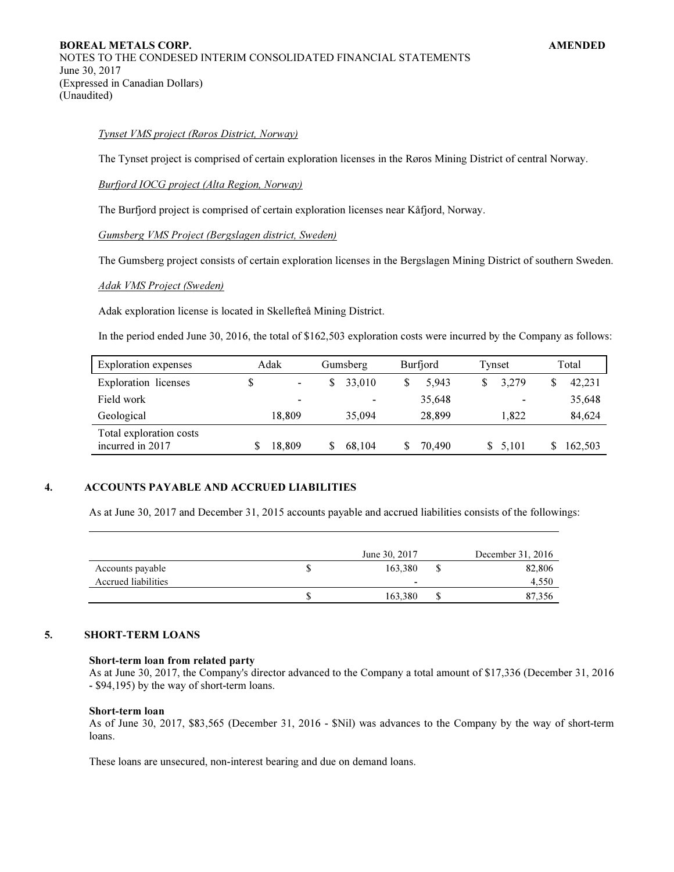## Tynset VMS project (Røros District, Norway)

The Tynset project is comprised of certain exploration licenses in the Røros Mining District of central Norway.

#### Burfjord IOCG project (Alta Region, Norway)

The Burfjord project is comprised of certain exploration licenses near Kåfjord, Norway.

Gumsberg VMS Project (Bergslagen district, Sweden)

The Gumsberg project consists of certain exploration licenses in the Bergslagen Mining District of southern Sweden.

## Adak VMS Project (Sweden)

Adak exploration license is located in Skellefteå Mining District.

In the period ended June 30, 2016, the total of \$162,503 exploration costs were incurred by the Company as follows:

| <b>Exploration</b> expenses                 | Adak   | Gumsberg | Burfjord | Tynset         | Total   |
|---------------------------------------------|--------|----------|----------|----------------|---------|
| <b>Exploration</b> licenses                 | -      | 33,010   | 5.943    | 3,279          | 42,231  |
| Field work                                  | -      |          | 35,648   | $\blacksquare$ | 35,648  |
| Geological                                  | 18.809 | 35,094   | 28.899   | 1.822          | 84,624  |
| Total exploration costs<br>incurred in 2017 | 18,809 | 68.104   | 70.490   | \$ 5,101       | 162.503 |

## 4. ACCOUNTS PAYABLE AND ACCRUED LIABILITIES

As at June 30, 2017 and December 31, 2015 accounts payable and accrued liabilities consists of the followings:

|                     | June 30, 2017 | December 31, 2016 |
|---------------------|---------------|-------------------|
| Accounts payable    | 163.380       | 82,806            |
| Accrued liabilities | -             | 4,550             |
|                     | 163,380       | 87,356            |

# 5. SHORT-TERM LOANS

# Short-term loan from related party

As at June 30, 2017, the Company's director advanced to the Company a total amount of \$17,336 (December 31, 2016 - \$94,195) by the way of short-term loans.

#### Short-term loan

As of June 30, 2017, \$83,565 (December 31, 2016 - \$Nil) was advances to the Company by the way of short-term loans.

These loans are unsecured, non-interest bearing and due on demand loans.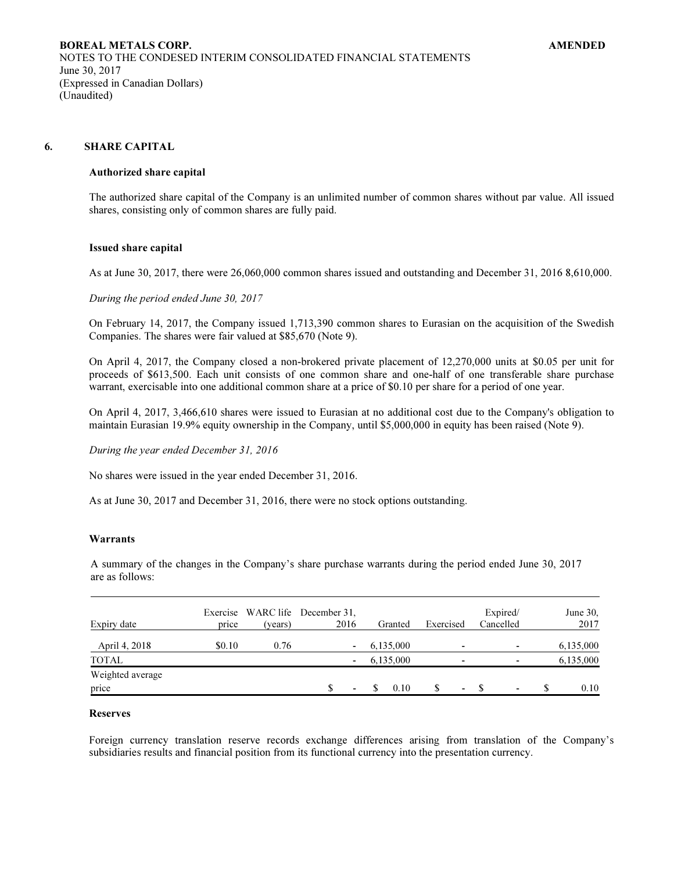## 6. SHARE CAPITAL

#### Authorized share capital

The authorized share capital of the Company is an unlimited number of common shares without par value. All issued shares, consisting only of common shares are fully paid.

#### Issued share capital

As at June 30, 2017, there were 26,060,000 common shares issued and outstanding and December 31, 2016 8,610,000.

During the period ended June 30, 2017

On February 14, 2017, the Company issued 1,713,390 common shares to Eurasian on the acquisition of the Swedish Companies. The shares were fair valued at \$85,670 (Note 9).

On April 4, 2017, the Company closed a non-brokered private placement of 12,270,000 units at \$0.05 per unit for proceeds of \$613,500. Each unit consists of one common share and one-half of one transferable share purchase warrant, exercisable into one additional common share at a price of \$0.10 per share for a period of one year.

On April 4, 2017, 3,466,610 shares were issued to Eurasian at no additional cost due to the Company's obligation to maintain Eurasian 19.9% equity ownership in the Company, until \$5,000,000 in equity has been raised (Note 9).

During the year ended December 31, 2016

No shares were issued in the year ended December 31, 2016.

As at June 30, 2017 and December 31, 2016, there were no stock options outstanding.

# Warrants

A summary of the changes in the Company's share purchase warrants during the period ended June 30, 2017 are as follows:

| Expiry date               | price  | (years) | Exercise WARC life December 31,<br>2016 | Granted   | Exercised | Expired/<br>Cancelled    | June $30$ ,<br>2017 |
|---------------------------|--------|---------|-----------------------------------------|-----------|-----------|--------------------------|---------------------|
| April 4, 2018             | \$0.10 | 0.76    | $\overline{\phantom{a}}$                | 6,135,000 | ۰         | ٠                        | 6,135,000           |
| <b>TOTAL</b>              |        |         | $\blacksquare$                          | 6,135,000 | -         |                          | 6,135,000           |
| Weighted average<br>price |        |         | $\blacksquare$                          | 0.10      | ۰.        | $\overline{\phantom{0}}$ | 0.10                |

#### Reserves

Foreign currency translation reserve records exchange differences arising from translation of the Company's subsidiaries results and financial position from its functional currency into the presentation currency.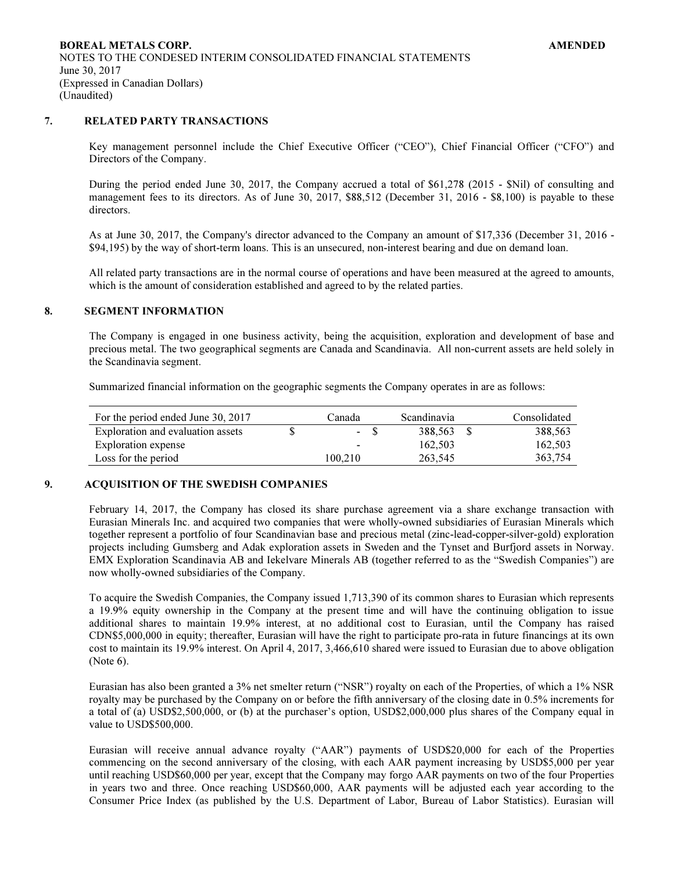# 7. RELATED PARTY TRANSACTIONS

Key management personnel include the Chief Executive Officer ("CEO"), Chief Financial Officer ("CFO") and Directors of the Company.

During the period ended June 30, 2017, the Company accrued a total of \$61,278 (2015 - \$Nil) of consulting and management fees to its directors. As of June 30, 2017, \$88,512 (December 31, 2016 - \$8,100) is payable to these directors.

As at June 30, 2017, the Company's director advanced to the Company an amount of \$17,336 (December 31, 2016 - \$94,195) by the way of short-term loans. This is an unsecured, non-interest bearing and due on demand loan.

All related party transactions are in the normal course of operations and have been measured at the agreed to amounts, which is the amount of consideration established and agreed to by the related parties.

#### 8. SEGMENT INFORMATION

The Company is engaged in one business activity, being the acquisition, exploration and development of base and precious metal. The two geographical segments are Canada and Scandinavia. All non-current assets are held solely in the Scandinavia segment.

Summarized financial information on the geographic segments the Company operates in are as follows:

| For the period ended June 30, 2017 | Canada                   | <i>Scandinavia</i> | Consolidated |
|------------------------------------|--------------------------|--------------------|--------------|
| Exploration and evaluation assets  | $-$ S                    | 388.563            | 388,563      |
| Exploration expense                | $\overline{\phantom{a}}$ | 162.503            | 162,503      |
| Loss for the period                | 100.210                  | 263.545            | 363.754      |

## 9. ACQUISITION OF THE SWEDISH COMPANIES

February 14, 2017, the Company has closed its share purchase agreement via a share exchange transaction with Eurasian Minerals Inc. and acquired two companies that were wholly-owned subsidiaries of Eurasian Minerals which together represent a portfolio of four Scandinavian base and precious metal (zinc-lead-copper-silver-gold) exploration projects including Gumsberg and Adak exploration assets in Sweden and the Tynset and Burfjord assets in Norway. EMX Exploration Scandinavia AB and Iekelvare Minerals AB (together referred to as the "Swedish Companies") are now wholly-owned subsidiaries of the Company.

To acquire the Swedish Companies, the Company issued 1,713,390 of its common shares to Eurasian which represents a 19.9% equity ownership in the Company at the present time and will have the continuing obligation to issue additional shares to maintain 19.9% interest, at no additional cost to Eurasian, until the Company has raised CDN\$5,000,000 in equity; thereafter, Eurasian will have the right to participate pro-rata in future financings at its own cost to maintain its 19.9% interest. On April 4, 2017, 3,466,610 shared were issued to Eurasian due to above obligation (Note 6).

Eurasian has also been granted a 3% net smelter return ("NSR") royalty on each of the Properties, of which a 1% NSR royalty may be purchased by the Company on or before the fifth anniversary of the closing date in 0.5% increments for a total of (a) USD\$2,500,000, or (b) at the purchaser's option, USD\$2,000,000 plus shares of the Company equal in value to USD\$500,000.

Eurasian will receive annual advance royalty ("AAR") payments of USD\$20,000 for each of the Properties commencing on the second anniversary of the closing, with each AAR payment increasing by USD\$5,000 per year until reaching USD\$60,000 per year, except that the Company may forgo AAR payments on two of the four Properties in years two and three. Once reaching USD\$60,000, AAR payments will be adjusted each year according to the Consumer Price Index (as published by the U.S. Department of Labor, Bureau of Labor Statistics). Eurasian will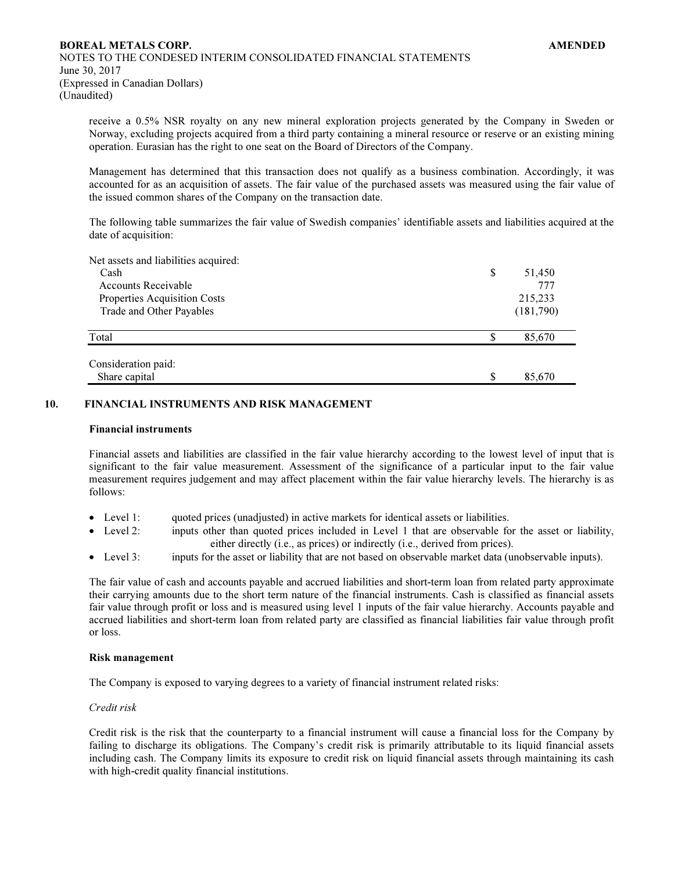receive a 0.5% NSR royalty on any new mineral exploration projects generated by the Company in Sweden or Norway, excluding projects acquired from a third party containing a mineral resource or reserve or an existing mining operation. Eurasian has the right to one seat on the Board of Directors of the Company.

Management has determined that this transaction does not qualify as a business combination. Accordingly, it was accounted for as an acquisition of assets. The fair value of the purchased assets was measured using the fair value of the issued common shares of the Company on the transaction date.

The following table summarizes the fair value of Swedish companies' identifiable assets and liabilities acquired at the date of acquisition:

| Net assets and liabilities acquired: |              |
|--------------------------------------|--------------|
| Cash                                 | \$<br>51,450 |
| <b>Accounts Receivable</b>           | 777          |
| Properties Acquisition Costs         | 215,233      |
| Trade and Other Payables             | (181,790)    |
| Total                                | \$<br>85,670 |
| Consideration paid:                  |              |
| Share capital                        | \$<br>85,670 |
|                                      |              |

## 10. FINANCIAL INSTRUMENTS AND RISK MANAGEMENT

### Financial instruments

Financial assets and liabilities are classified in the fair value hierarchy according to the lowest level of input that is significant to the fair value measurement. Assessment of the significance of a particular input to the fair value measurement requires judgement and may affect placement within the fair value hierarchy levels. The hierarchy is as follows:

- Level 1: quoted prices (unadjusted) in active markets for identical assets or liabilities.
- Level 2: inputs other than quoted prices included in Level 1 that are observable for the asset or liability, either directly (i.e., as prices) or indirectly (i.e., derived from prices).
- Level 3: inputs for the asset or liability that are not based on observable market data (unobservable inputs).

The fair value of cash and accounts payable and accrued liabilities and short-term loan from related party approximate their carrying amounts due to the short term nature of the financial instruments. Cash is classified as financial assets fair value through profit or loss and is measured using level 1 inputs of the fair value hierarchy. Accounts payable and accrued liabilities and short-term loan from related party are classified as financial liabilities fair value through profit or loss.

### Risk management

The Company is exposed to varying degrees to a variety of financial instrument related risks:

## Credit risk

Credit risk is the risk that the counterparty to a financial instrument will cause a financial loss for the Company by failing to discharge its obligations. The Company's credit risk is primarily attributable to its liquid financial assets including cash. The Company limits its exposure to credit risk on liquid financial assets through maintaining its cash with high-credit quality financial institutions.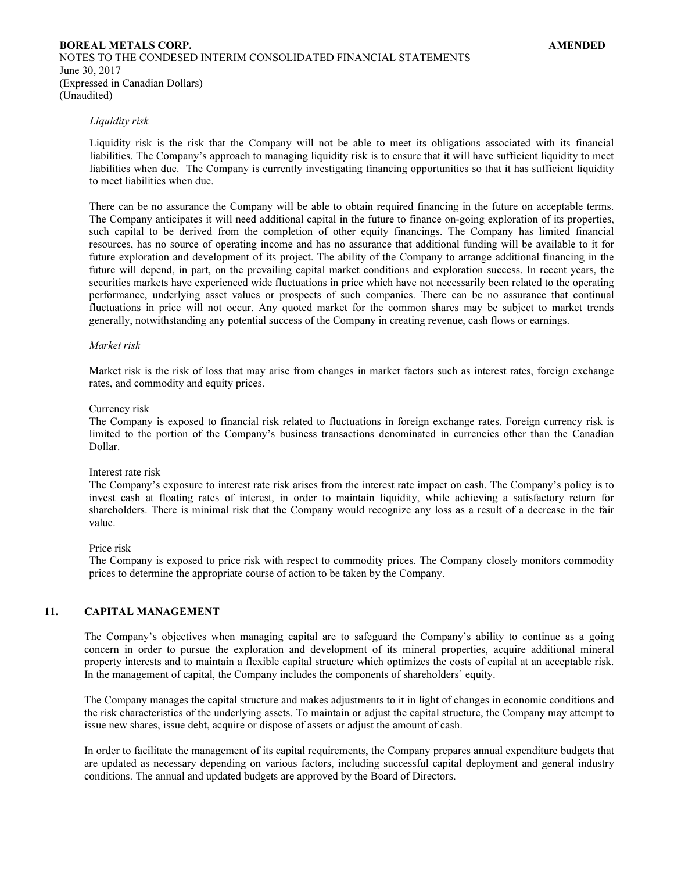#### Liquidity risk

Liquidity risk is the risk that the Company will not be able to meet its obligations associated with its financial liabilities. The Company's approach to managing liquidity risk is to ensure that it will have sufficient liquidity to meet liabilities when due. The Company is currently investigating financing opportunities so that it has sufficient liquidity to meet liabilities when due.

There can be no assurance the Company will be able to obtain required financing in the future on acceptable terms. The Company anticipates it will need additional capital in the future to finance on-going exploration of its properties, such capital to be derived from the completion of other equity financings. The Company has limited financial resources, has no source of operating income and has no assurance that additional funding will be available to it for future exploration and development of its project. The ability of the Company to arrange additional financing in the future will depend, in part, on the prevailing capital market conditions and exploration success. In recent years, the securities markets have experienced wide fluctuations in price which have not necessarily been related to the operating performance, underlying asset values or prospects of such companies. There can be no assurance that continual fluctuations in price will not occur. Any quoted market for the common shares may be subject to market trends generally, notwithstanding any potential success of the Company in creating revenue, cash flows or earnings.

#### Market risk

Market risk is the risk of loss that may arise from changes in market factors such as interest rates, foreign exchange rates, and commodity and equity prices.

#### Currency risk

The Company is exposed to financial risk related to fluctuations in foreign exchange rates. Foreign currency risk is limited to the portion of the Company's business transactions denominated in currencies other than the Canadian Dollar.

#### Interest rate risk

The Company's exposure to interest rate risk arises from the interest rate impact on cash. The Company's policy is to invest cash at floating rates of interest, in order to maintain liquidity, while achieving a satisfactory return for shareholders. There is minimal risk that the Company would recognize any loss as a result of a decrease in the fair value.

#### Price risk

The Company is exposed to price risk with respect to commodity prices. The Company closely monitors commodity prices to determine the appropriate course of action to be taken by the Company.

# 11. CAPITAL MANAGEMENT

The Company's objectives when managing capital are to safeguard the Company's ability to continue as a going concern in order to pursue the exploration and development of its mineral properties, acquire additional mineral property interests and to maintain a flexible capital structure which optimizes the costs of capital at an acceptable risk. In the management of capital, the Company includes the components of shareholders' equity.

The Company manages the capital structure and makes adjustments to it in light of changes in economic conditions and the risk characteristics of the underlying assets. To maintain or adjust the capital structure, the Company may attempt to issue new shares, issue debt, acquire or dispose of assets or adjust the amount of cash.

In order to facilitate the management of its capital requirements, the Company prepares annual expenditure budgets that are updated as necessary depending on various factors, including successful capital deployment and general industry conditions. The annual and updated budgets are approved by the Board of Directors.